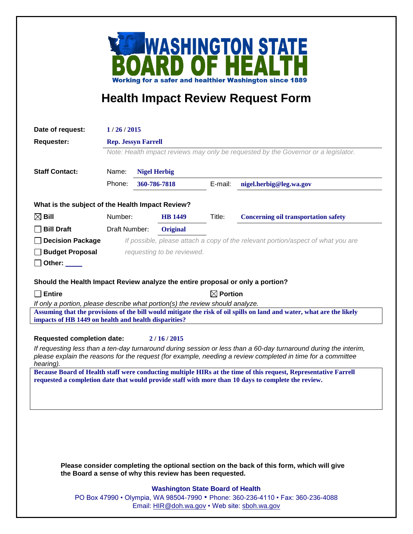

## **Health Impact Review Request Form**

| Date of request:                                                                                                                                                                                       | 1/26/2015                                                                          |              |                 |         |                                                                                  |
|--------------------------------------------------------------------------------------------------------------------------------------------------------------------------------------------------------|------------------------------------------------------------------------------------|--------------|-----------------|---------|----------------------------------------------------------------------------------|
| <b>Requester:</b>                                                                                                                                                                                      | <b>Rep. Jessyn Farrell</b>                                                         |              |                 |         |                                                                                  |
|                                                                                                                                                                                                        | Note: Health impact reviews may only be requested by the Governor or a legislator. |              |                 |         |                                                                                  |
|                                                                                                                                                                                                        |                                                                                    |              |                 |         |                                                                                  |
| <b>Staff Contact:</b>                                                                                                                                                                                  | Name:<br><b>Nigel Herbig</b>                                                       |              |                 |         |                                                                                  |
|                                                                                                                                                                                                        | Phone:                                                                             | 360-786-7818 |                 | E-mail: | nigel.herbig@leg.wa.gov                                                          |
| What is the subject of the Health Impact Review?                                                                                                                                                       |                                                                                    |              |                 |         |                                                                                  |
| $\boxtimes$ Bill                                                                                                                                                                                       | Number:                                                                            |              | <b>HB</b> 1449  | Title:  | <b>Concerning oil transportation safety</b>                                      |
| <b>Bill Draft</b>                                                                                                                                                                                      | Draft Number:                                                                      |              | <b>Original</b> |         |                                                                                  |
| <b>Decision Package</b>                                                                                                                                                                                |                                                                                    |              |                 |         | If possible, please attach a copy of the relevant portion/aspect of what you are |
| <b>Budget Proposal</b>                                                                                                                                                                                 | requesting to be reviewed.                                                         |              |                 |         |                                                                                  |
| Other:                                                                                                                                                                                                 |                                                                                    |              |                 |         |                                                                                  |
|                                                                                                                                                                                                        |                                                                                    |              |                 |         |                                                                                  |
| Should the Health Impact Review analyze the entire proposal or only a portion?                                                                                                                         |                                                                                    |              |                 |         |                                                                                  |
| $\Box$ Entire                                                                                                                                                                                          | $\boxtimes$ Portion                                                                |              |                 |         |                                                                                  |
| If only a portion, please describe what portion(s) the review should analyze.<br>Assuming that the provisions of the bill would mitigate the risk of oil spills on land and water, what are the likely |                                                                                    |              |                 |         |                                                                                  |
| impacts of HB 1449 on health and health disparities?                                                                                                                                                   |                                                                                    |              |                 |         |                                                                                  |
| <b>Requested completion date:</b><br>2/16/2015                                                                                                                                                         |                                                                                    |              |                 |         |                                                                                  |
| If requesting less than a ten-day turnaround during session or less than a 60-day turnaround during the interim,                                                                                       |                                                                                    |              |                 |         |                                                                                  |
| please explain the reasons for the request (for example, needing a review completed in time for a committee<br>hearing).                                                                               |                                                                                    |              |                 |         |                                                                                  |
| Because Board of Health staff were conducting multiple HIRs at the time of this request, Representative Farrell                                                                                        |                                                                                    |              |                 |         |                                                                                  |
| requested a completion date that would provide staff with more than 10 days to complete the review.                                                                                                    |                                                                                    |              |                 |         |                                                                                  |
|                                                                                                                                                                                                        |                                                                                    |              |                 |         |                                                                                  |
|                                                                                                                                                                                                        |                                                                                    |              |                 |         |                                                                                  |
|                                                                                                                                                                                                        |                                                                                    |              |                 |         |                                                                                  |
|                                                                                                                                                                                                        |                                                                                    |              |                 |         |                                                                                  |

**Please consider completing the optional section on the back of this form, which will give the Board a sense of why this review has been requested.**

## **Washington State Board of Health**

PO Box 47990 • Olympia, WA 98504-7990 • Phone: 360-236-4110 • Fax: 360-236-4088 Email: HIR@doh.wa.gov • Web site: sboh.wa.gov